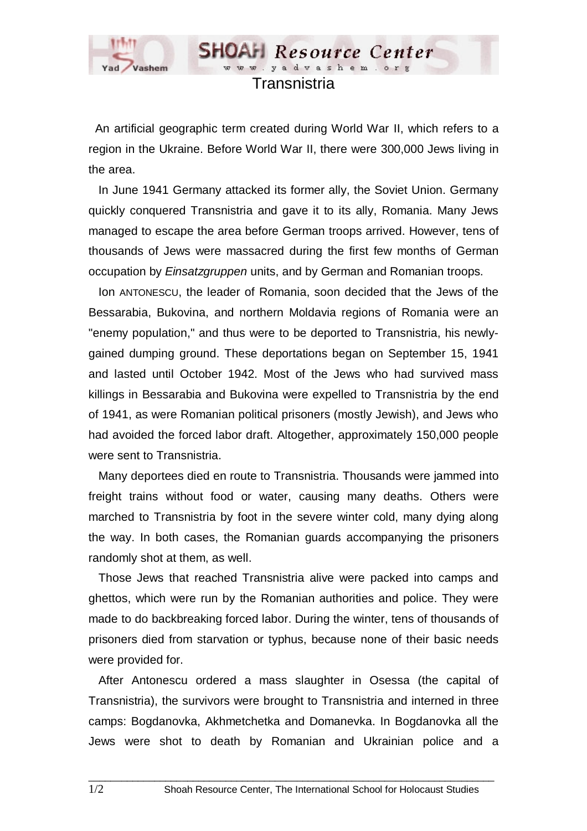

## Transnistria

www.vadvashem.

**SHOAH** Resource Center

 An artificial geographic term created during World War II, which refers to a region in the Ukraine. Before World War II, there were 300,000 Jews living in the area.

 In June 1941 Germany attacked its former ally, the Soviet Union. Germany quickly conquered Transnistria and gave it to its ally, Romania. Many Jews managed to escape the area before German troops arrived. However, tens of thousands of Jews were massacred during the first few months of German occupation by *Einsatzgruppen* units, and by German and Romanian troops.

 Ion ANTONESCU, the leader of Romania, soon decided that the Jews of the Bessarabia, Bukovina, and northern Moldavia regions of Romania were an "enemy population," and thus were to be deported to Transnistria, his newlygained dumping ground. These deportations began on September 15, 1941 and lasted until October 1942. Most of the Jews who had survived mass killings in Bessarabia and Bukovina were expelled to Transnistria by the end of 1941, as were Romanian political prisoners (mostly Jewish), and Jews who had avoided the forced labor draft. Altogether, approximately 150,000 people were sent to Transnistria.

 Many deportees died en route to Transnistria. Thousands were jammed into freight trains without food or water, causing many deaths. Others were marched to Transnistria by foot in the severe winter cold, many dying along the way. In both cases, the Romanian guards accompanying the prisoners randomly shot at them, as well.

 Those Jews that reached Transnistria alive were packed into camps and ghettos, which were run by the Romanian authorities and police. They were made to do backbreaking forced labor. During the winter, tens of thousands of prisoners died from starvation or typhus, because none of their basic needs were provided for.

 After Antonescu ordered a mass slaughter in Osessa (the capital of Transnistria), the survivors were brought to Transnistria and interned in three camps: Bogdanovka, Akhmetchetka and Domanevka. In Bogdanovka all the Jews were shot to death by Romanian and Ukrainian police and a

 $\Box$